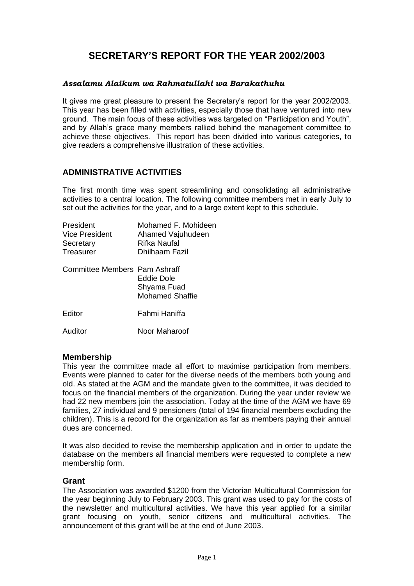# **SECRETARY'S REPORT FOR THE YEAR 2002/2003**

#### *Assalamu Alaikum wa Rahmatullahi wa Barakathuhu*

It gives me great pleasure to present the Secretary's report for the year 2002/2003. This year has been filled with activities, especially those that have ventured into new ground. The main focus of these activities was targeted on "Participation and Youth", and by Allah's grace many members rallied behind the management committee to achieve these objectives. This report has been divided into various categories, to give readers a comprehensive illustration of these activities.

### **ADMINISTRATIVE ACTIVITIES**

The first month time was spent streamlining and consolidating all administrative activities to a central location. The following committee members met in early July to set out the activities for the year, and to a large extent kept to this schedule.

| Mohamed F. Mohideen<br>Ahamed Vajuhudeen<br>Rifka Naufal<br>Dhilhaam Fazil           |
|--------------------------------------------------------------------------------------|
| Committee Members Pam Ashraff<br>Eddie Dole<br>Shyama Fuad<br><b>Mohamed Shaffie</b> |
| Fahmi Haniffa                                                                        |
| Noor Maharoof                                                                        |
|                                                                                      |

### **Membership**

This year the committee made all effort to maximise participation from members. Events were planned to cater for the diverse needs of the members both young and old. As stated at the AGM and the mandate given to the committee, it was decided to focus on the financial members of the organization. During the year under review we had 22 new members join the association. Today at the time of the AGM we have 69 families, 27 individual and 9 pensioners (total of 194 financial members excluding the children). This is a record for the organization as far as members paying their annual dues are concerned.

It was also decided to revise the membership application and in order to update the database on the members all financial members were requested to complete a new membership form.

#### **Grant**

The Association was awarded \$1200 from the Victorian Multicultural Commission for the year beginning July to February 2003. This grant was used to pay for the costs of the newsletter and multicultural activities. We have this year applied for a similar grant focusing on youth, senior citizens and multicultural activities. The announcement of this grant will be at the end of June 2003.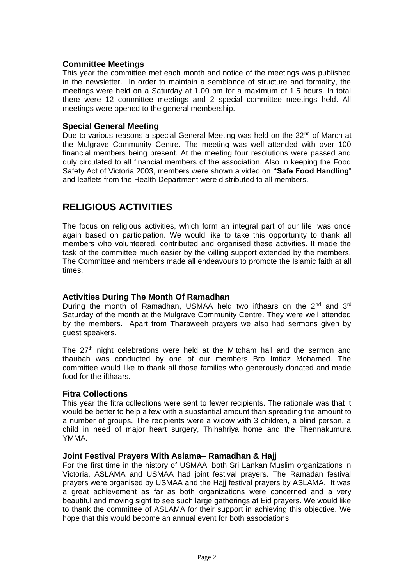### **Committee Meetings**

This year the committee met each month and notice of the meetings was published in the newsletter. In order to maintain a semblance of structure and formality, the meetings were held on a Saturday at 1.00 pm for a maximum of 1.5 hours. In total there were 12 committee meetings and 2 special committee meetings held. All meetings were opened to the general membership.

#### **Special General Meeting**

Due to various reasons a special General Meeting was held on the  $22<sup>nd</sup>$  of March at the Mulgrave Community Centre. The meeting was well attended with over 100 financial members being present. At the meeting four resolutions were passed and duly circulated to all financial members of the association. Also in keeping the Food Safety Act of Victoria 2003, members were shown a video on **"Safe Food Handling**" and leaflets from the Health Department were distributed to all members.

## **RELIGIOUS ACTIVITIES**

The focus on religious activities, which form an integral part of our life, was once again based on participation. We would like to take this opportunity to thank all members who volunteered, contributed and organised these activities. It made the task of the committee much easier by the willing support extended by the members. The Committee and members made all endeavours to promote the Islamic faith at all times.

### **Activities During The Month Of Ramadhan**

During the month of Ramadhan, USMAA held two ifthaars on the 2<sup>nd</sup> and 3<sup>rd</sup> Saturday of the month at the Mulgrave Community Centre. They were well attended by the members. Apart from Tharaweeh prayers we also had sermons given by guest speakers.

The  $27<sup>th</sup>$  night celebrations were held at the Mitcham hall and the sermon and thaubah was conducted by one of our members Bro Imtiaz Mohamed. The committee would like to thank all those families who generously donated and made food for the ifthaars.

#### **Fitra Collections**

This year the fitra collections were sent to fewer recipients. The rationale was that it would be better to help a few with a substantial amount than spreading the amount to a number of groups. The recipients were a widow with 3 children, a blind person, a child in need of major heart surgery, Thihahriya home and the Thennakumura YMMA.

#### **Joint Festival Prayers With Aslama– Ramadhan & Hajj**

For the first time in the history of USMAA, both Sri Lankan Muslim organizations in Victoria, ASLAMA and USMAA had joint festival prayers. The Ramadan festival prayers were organised by USMAA and the Hajj festival prayers by ASLAMA. It was a great achievement as far as both organizations were concerned and a very beautiful and moving sight to see such large gatherings at Eid prayers. We would like to thank the committee of ASLAMA for their support in achieving this objective. We hope that this would become an annual event for both associations.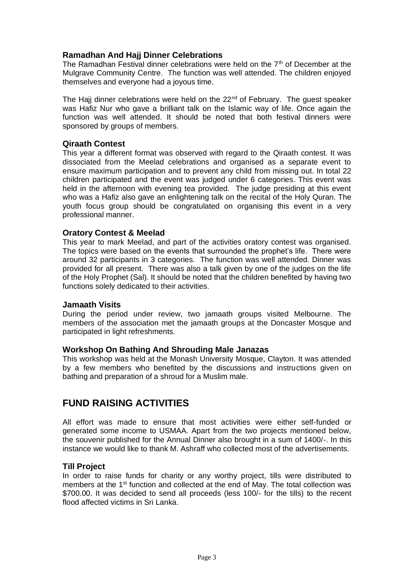### **Ramadhan And Hajj Dinner Celebrations**

The Ramadhan Festival dinner celebrations were held on the  $7<sup>th</sup>$  of December at the Mulgrave Community Centre. The function was well attended. The children enjoyed themselves and everyone had a joyous time.

The Hajj dinner celebrations were held on the  $22<sup>nd</sup>$  of February. The guest speaker was Hafiz Nur who gave a brilliant talk on the Islamic way of life. Once again the function was well attended. It should be noted that both festival dinners were sponsored by groups of members.

### **Qiraath Contest**

This year a different format was observed with regard to the Qiraath contest. It was dissociated from the Meelad celebrations and organised as a separate event to ensure maximum participation and to prevent any child from missing out. In total 22 children participated and the event was judged under 6 categories. This event was held in the afternoon with evening tea provided. The judge presiding at this event who was a Hafiz also gave an enlightening talk on the recital of the Holy Quran. The youth focus group should be congratulated on organising this event in a very professional manner.

#### **Oratory Contest & Meelad**

This year to mark Meelad, and part of the activities oratory contest was organised. The topics were based on the events that surrounded the prophet's life. There were around 32 participants in 3 categories. The function was well attended. Dinner was provided for all present. There was also a talk given by one of the judges on the life of the Holy Prophet (Sal). It should be noted that the children benefited by having two functions solely dedicated to their activities.

#### **Jamaath Visits**

During the period under review, two jamaath groups visited Melbourne. The members of the association met the jamaath groups at the Doncaster Mosque and participated in light refreshments.

#### **Workshop On Bathing And Shrouding Male Janazas**

This workshop was held at the Monash University Mosque, Clayton. It was attended by a few members who benefited by the discussions and instructions given on bathing and preparation of a shroud for a Muslim male.

### **FUND RAISING ACTIVITIES**

All effort was made to ensure that most activities were either self-funded or generated some income to USMAA. Apart from the two projects mentioned below, the souvenir published for the Annual Dinner also brought in a sum of 1400/-. In this instance we would like to thank M. Ashraff who collected most of the advertisements.

#### **Till Project**

In order to raise funds for charity or any worthy project, tills were distributed to members at the  $1<sup>st</sup>$  function and collected at the end of May. The total collection was \$700.00. It was decided to send all proceeds (less 100/- for the tills) to the recent flood affected victims in Sri Lanka.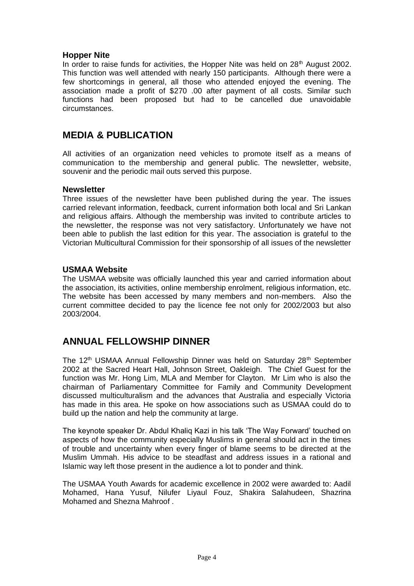### **Hopper Nite**

In order to raise funds for activities, the Hopper Nite was held on  $28<sup>th</sup>$  August 2002. This function was well attended with nearly 150 participants. Although there were a few shortcomings in general, all those who attended enjoyed the evening. The association made a profit of \$270 .00 after payment of all costs. Similar such functions had been proposed but had to be cancelled due unavoidable circumstances.

### **MEDIA & PUBLICATION**

All activities of an organization need vehicles to promote itself as a means of communication to the membership and general public. The newsletter, website, souvenir and the periodic mail outs served this purpose.

#### **Newsletter**

Three issues of the newsletter have been published during the year. The issues carried relevant information, feedback, current information both local and Sri Lankan and religious affairs. Although the membership was invited to contribute articles to the newsletter, the response was not very satisfactory. Unfortunately we have not been able to publish the last edition for this year. The association is grateful to the Victorian Multicultural Commission for their sponsorship of all issues of the newsletter

### **USMAA Website**

The USMAA website was officially launched this year and carried information about the association, its activities, online membership enrolment, religious information, etc. The website has been accessed by many members and non-members. Also the current committee decided to pay the licence fee not only for 2002/2003 but also 2003/2004.

## **ANNUAL FELLOWSHIP DINNER**

The 12<sup>th</sup> USMAA Annual Fellowship Dinner was held on Saturday 28<sup>th</sup> September 2002 at the Sacred Heart Hall, Johnson Street, Oakleigh. The Chief Guest for the function was Mr. Hong Lim, MLA and Member for Clayton. Mr Lim who is also the chairman of Parliamentary Committee for Family and Community Development discussed multiculturalism and the advances that Australia and especially Victoria has made in this area. He spoke on how associations such as USMAA could do to build up the nation and help the community at large.

The keynote speaker Dr. Abdul Khaliq Kazi in his talk 'The Way Forward' touched on aspects of how the community especially Muslims in general should act in the times of trouble and uncertainty when every finger of blame seems to be directed at the Muslim Ummah. His advice to be steadfast and address issues in a rational and Islamic way left those present in the audience a lot to ponder and think.

The USMAA Youth Awards for academic excellence in 2002 were awarded to: Aadil Mohamed, Hana Yusuf, Nilufer Liyaul Fouz, Shakira Salahudeen, Shazrina Mohamed and Shezna Mahroof .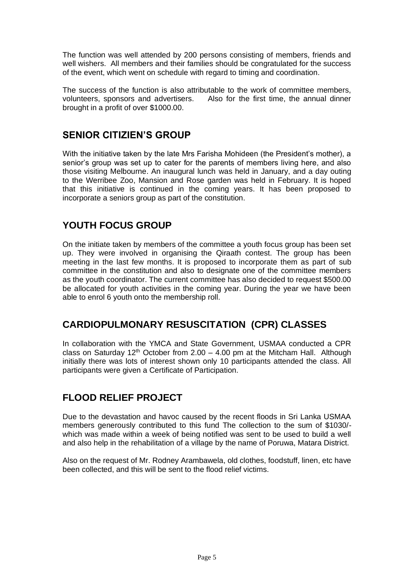The function was well attended by 200 persons consisting of members, friends and well wishers. All members and their families should be congratulated for the success of the event, which went on schedule with regard to timing and coordination.

The success of the function is also attributable to the work of committee members, volunteers, sponsors and advertisers. Also for the first time, the annual dinner brought in a profit of over \$1000.00.

## **SENIOR CITIZIEN'S GROUP**

With the initiative taken by the late Mrs Farisha Mohideen (the President's mother), a senior's group was set up to cater for the parents of members living here, and also those visiting Melbourne. An inaugural lunch was held in January, and a day outing to the Werribee Zoo, Mansion and Rose garden was held in February. It is hoped that this initiative is continued in the coming years. It has been proposed to incorporate a seniors group as part of the constitution.

## **YOUTH FOCUS GROUP**

On the initiate taken by members of the committee a youth focus group has been set up. They were involved in organising the Qiraath contest. The group has been meeting in the last few months. It is proposed to incorporate them as part of sub committee in the constitution and also to designate one of the committee members as the youth coordinator. The current committee has also decided to request \$500.00 be allocated for youth activities in the coming year. During the year we have been able to enrol 6 youth onto the membership roll.

## **CARDIOPULMONARY RESUSCITATION (CPR) CLASSES**

In collaboration with the YMCA and State Government, USMAA conducted a CPR class on Saturday 12<sup>th</sup> October from 2.00 – 4.00 pm at the Mitcham Hall. Although initially there was lots of interest shown only 10 participants attended the class. All participants were given a Certificate of Participation.

## **FLOOD RELIEF PROJECT**

Due to the devastation and havoc caused by the recent floods in Sri Lanka USMAA members generously contributed to this fund The collection to the sum of \$1030/ which was made within a week of being notified was sent to be used to build a well and also help in the rehabilitation of a village by the name of Poruwa, Matara District.

Also on the request of Mr. Rodney Arambawela, old clothes, foodstuff, linen, etc have been collected, and this will be sent to the flood relief victims.